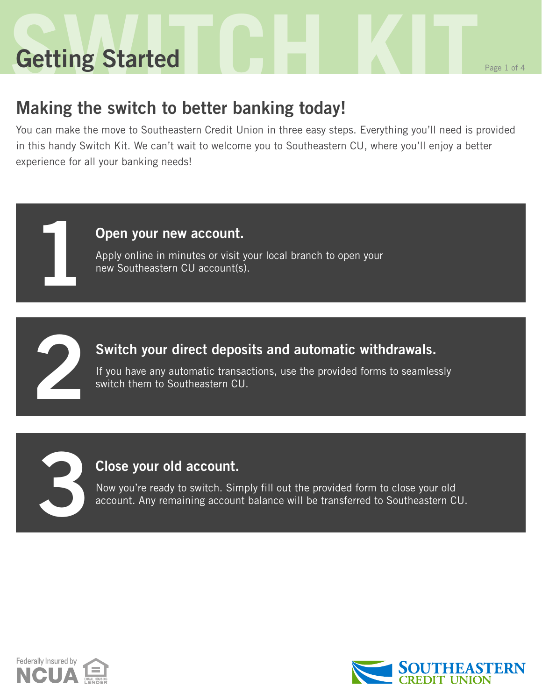# **Setting Started Command Responsible Responsible Responsible Responsible Responsible Responsible Responsible Responsible Getting Started**

**1**

**2**

**3**

### **Making the switch to better banking today!**

You can make the move to Southeastern Credit Union in three easy steps. Everything you'll need is provided in this handy Switch Kit. We can't wait to welcome you to Southeastern CU, where you'll enjoy a better experience for all your banking needs!

#### **Open your new account.**

Apply online in minutes or visit your local branch to open your new Southeastern CU account(s).

#### **Switch your direct deposits and automatic withdrawals.**

If you have any automatic transactions, use the provided forms to seamlessly switch them to Southeastern CU.

#### **Close your old account.**

Now you're ready to switch. Simply fill out the provided form to close your old account. Any remaining account balance will be transferred to Southeastern CU.



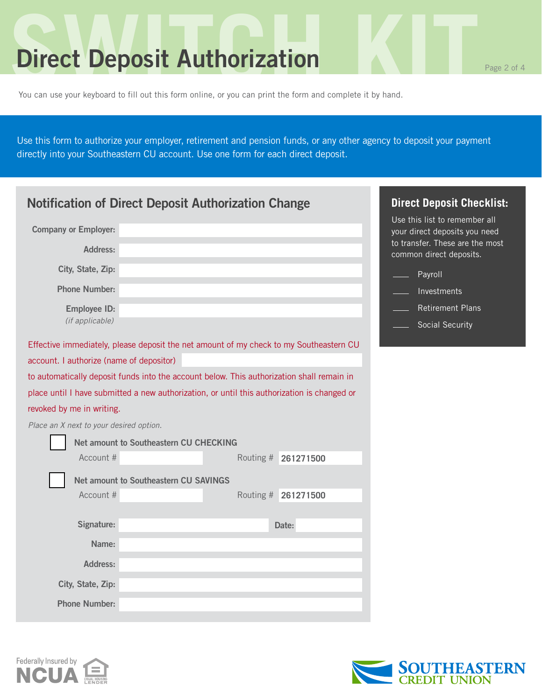### **Direct Deposit Authorization**

You can use your keyboard to fill out this form online, or you can print the form and complete it by hand.

Use this form to authorize your employer, retirement and pension funds, or any other agency to deposit your payment directly into your Southeastern CU account. Use one form for each direct deposit.

| <b>Notification of Direct Deposit Authorization Change</b> | <b>Direct Deposit Checklist:</b>                                                            |                                                                |
|------------------------------------------------------------|---------------------------------------------------------------------------------------------|----------------------------------------------------------------|
| <b>Company or Employer:</b>                                |                                                                                             | Use this list to remember all<br>your direct deposits you need |
| <b>Address:</b>                                            |                                                                                             | to transfer. These are the most<br>common direct deposits.     |
| City, State, Zip:                                          |                                                                                             | Payroll                                                        |
| <b>Phone Number:</b>                                       |                                                                                             | Investments                                                    |
| <b>Employee ID:</b>                                        |                                                                                             | <b>Retirement Plans</b>                                        |
| (if applicable)                                            |                                                                                             | Social Security                                                |
|                                                            | Effective immediately, please deposit the net amount of my check to my Southeastern CU      |                                                                |
| account. I authorize (name of depositor)                   |                                                                                             |                                                                |
|                                                            | to automatically deposit funds into the account below. This authorization shall remain in   |                                                                |
|                                                            | place until I have submitted a new authorization, or until this authorization is changed or |                                                                |
| revoked by me in writing.                                  |                                                                                             |                                                                |
| Place an X next to your desired option.                    |                                                                                             |                                                                |
|                                                            | Net amount to Southeastern CU CHECKING                                                      |                                                                |
| Account #                                                  | Routing # 261271500                                                                         |                                                                |
|                                                            | <b>Net amount to Southeastern CU SAVINGS</b>                                                |                                                                |
| Account #                                                  | Routing #<br>261271500                                                                      |                                                                |
|                                                            |                                                                                             |                                                                |
| Signature:                                                 | Date:                                                                                       |                                                                |
| Name:                                                      |                                                                                             |                                                                |
| Address:                                                   |                                                                                             |                                                                |
| City, State, Zip:                                          |                                                                                             |                                                                |
| <b>Phone Number:</b>                                       |                                                                                             |                                                                |



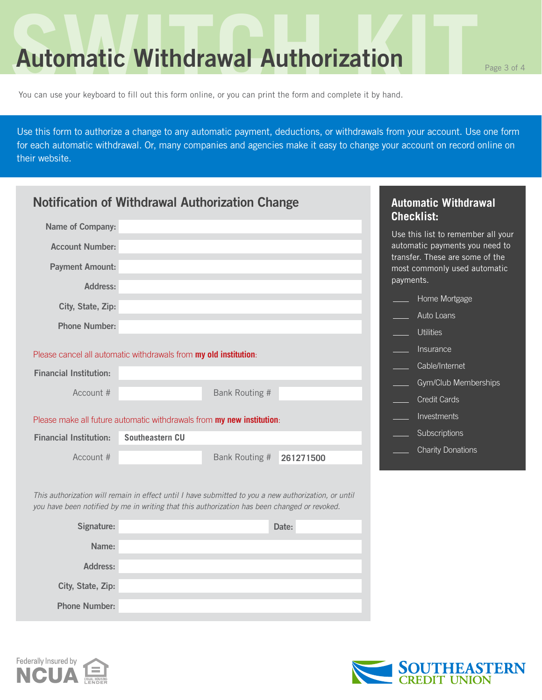### **Automatic Withdrawal Authorization**

You can use your keyboard to fill out this form online, or you can print the form and complete it by hand.

Use this form to authorize a change to any automatic payment, deductions, or withdrawals from your account. Use one form for each automatic withdrawal. Or, many companies and agencies make it easy to change your account on record online on their website.

| <b>Notification of Withdrawal Authorization Change</b> |                                                                                                                                                                                                      |                |           |           | <b>Automatic Withdrawal</b><br><b>Checklist:</b>                |
|--------------------------------------------------------|------------------------------------------------------------------------------------------------------------------------------------------------------------------------------------------------------|----------------|-----------|-----------|-----------------------------------------------------------------|
| Name of Company:                                       |                                                                                                                                                                                                      |                |           |           | Use this list to remember all your                              |
| <b>Account Number:</b>                                 |                                                                                                                                                                                                      |                |           |           | automatic payments you need to                                  |
| <b>Payment Amount:</b>                                 |                                                                                                                                                                                                      |                |           | payments. | transfer. These are some of the<br>most commonly used automatic |
| Address:                                               |                                                                                                                                                                                                      |                |           |           | Home Mortgage                                                   |
| City, State, Zip:                                      |                                                                                                                                                                                                      |                |           |           | Auto Loans                                                      |
| <b>Phone Number:</b>                                   |                                                                                                                                                                                                      |                |           |           |                                                                 |
|                                                        |                                                                                                                                                                                                      |                |           |           | <b>Utilities</b>                                                |
|                                                        | Please cancel all automatic withdrawals from my old institution:                                                                                                                                     |                |           |           | Insurance                                                       |
| <b>Financial Institution:</b>                          |                                                                                                                                                                                                      |                |           |           | Cable/Internet                                                  |
| Account #                                              |                                                                                                                                                                                                      | Bank Routing # |           |           | Gym/Club Memberships                                            |
|                                                        |                                                                                                                                                                                                      |                |           |           | <b>Credit Cards</b>                                             |
|                                                        | Please make all future automatic withdrawals from my new institution:                                                                                                                                |                |           |           | Investments                                                     |
| <b>Financial Institution:</b>                          | Southeastern CU                                                                                                                                                                                      |                |           |           | Subscriptions                                                   |
| Account #                                              |                                                                                                                                                                                                      | Bank Routing # | 261271500 |           | <b>Charity Donations</b>                                        |
|                                                        |                                                                                                                                                                                                      |                |           |           |                                                                 |
|                                                        | This authorization will remain in effect until I have submitted to you a new authorization, or until<br>you have been notified by me in writing that this authorization has been changed or revoked. |                |           |           |                                                                 |
| Signature:                                             |                                                                                                                                                                                                      |                | Date:     |           |                                                                 |
| Name:                                                  |                                                                                                                                                                                                      |                |           |           |                                                                 |
| <b>Address:</b>                                        |                                                                                                                                                                                                      |                |           |           |                                                                 |

Federally Insured by **NCI** 

**City, State, Zip:**

**Phone Number:**